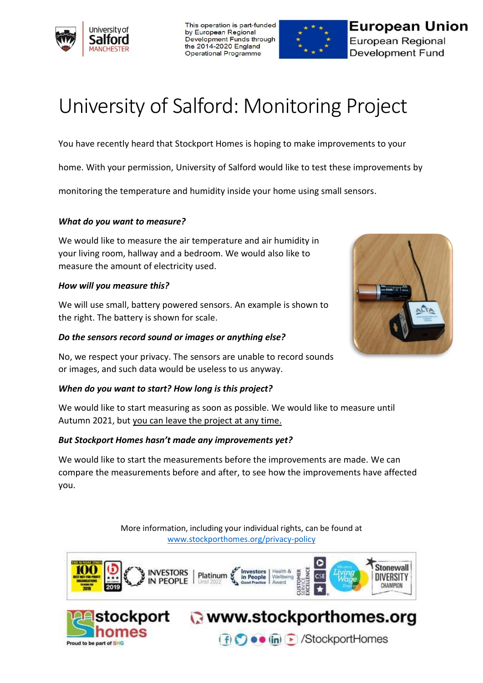

This operation is part-funded by European Regional Development Funds through the 2014-2020 England Operational Programme



**European Union** European Regional **Development Fund** 

# University of Salford: Monitoring Project

You have recently heard that Stockport Homes is hoping to make improvements to your

home. With your permission, University of Salford would like to test these improvements by

monitoring the temperature and humidity inside your home using small sensors.

#### *What do you want to measure?*

We would like to measure the air temperature and air humidity in your living room, hallway and a bedroom. We would also like to measure the amount of electricity used.

#### *How will you measure this?*

We will use small, battery powered sensors. An example is shown to the right. The battery is shown for scale.

#### *Do the sensors record sound or images or anything else?*

No, we respect your privacy. The sensors are unable to record sounds or images, and such data would be useless to us anyway.

#### *When do you want to start? How long is this project?*

We would like to start measuring as soon as possible. We would like to measure until Autumn 2021, but you can leave the project at any time.

### *But Stockport Homes hasn't made any improvements yet?*

mes

Proud to be part of SHG

We would like to start the measurements before the improvements are made. We can compare the measurements before and after, to see how the improvements have affected you.

> More information, including your individual rights, can be found at [www.stockporthomes.org/privacy-policy](http://www.stockporthomes.org/privacy-policy)



ockport awww.stockporthomes.org



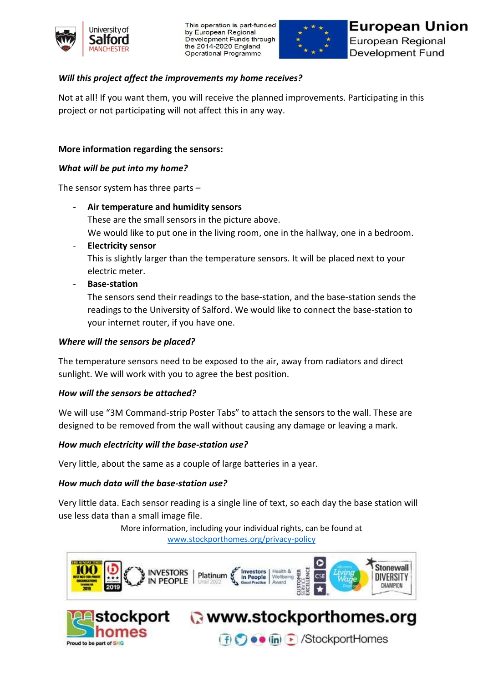

This operation is part-funded by European Regional Development Funds through the 2014-2020 England Operational Programme



# *Will this project affect the improvements my home receives?*

Not at all! If you want them, you will receive the planned improvements. Participating in this project or not participating will not affect this in any way.

# **More information regarding the sensors:**

### *What will be put into my home?*

The sensor system has three parts –

- **Air temperature and humidity sensors** These are the small sensors in the picture above. We would like to put one in the living room, one in the hallway, one in a bedroom.
- **Electricity sensor**

This is slightly larger than the temperature sensors. It will be placed next to your electric meter.

- **Base-station**

The sensors send their readings to the base-station, and the base-station sends the readings to the University of Salford. We would like to connect the base-station to your internet router, if you have one.

#### *Where will the sensors be placed?*

The temperature sensors need to be exposed to the air, away from radiators and direct sunlight. We will work with you to agree the best position.

### *How will the sensors be attached?*

We will use "3M Command-strip Poster Tabs" to attach the sensors to the wall. These are designed to be removed from the wall without causing any damage or leaving a mark.

### *How much electricity will the base-station use?*

Very little, about the same as a couple of large batteries in a year.

### *How much data will the base-station use?*

Very little data. Each sensor reading is a single line of text, so each day the base station will use less data than a small image file.

> More information, including your individual rights, can be found at [www.stockporthomes.org/privacy-policy](http://www.stockporthomes.org/privacy-policy)



(f) ● • (in) B /StockportHomes